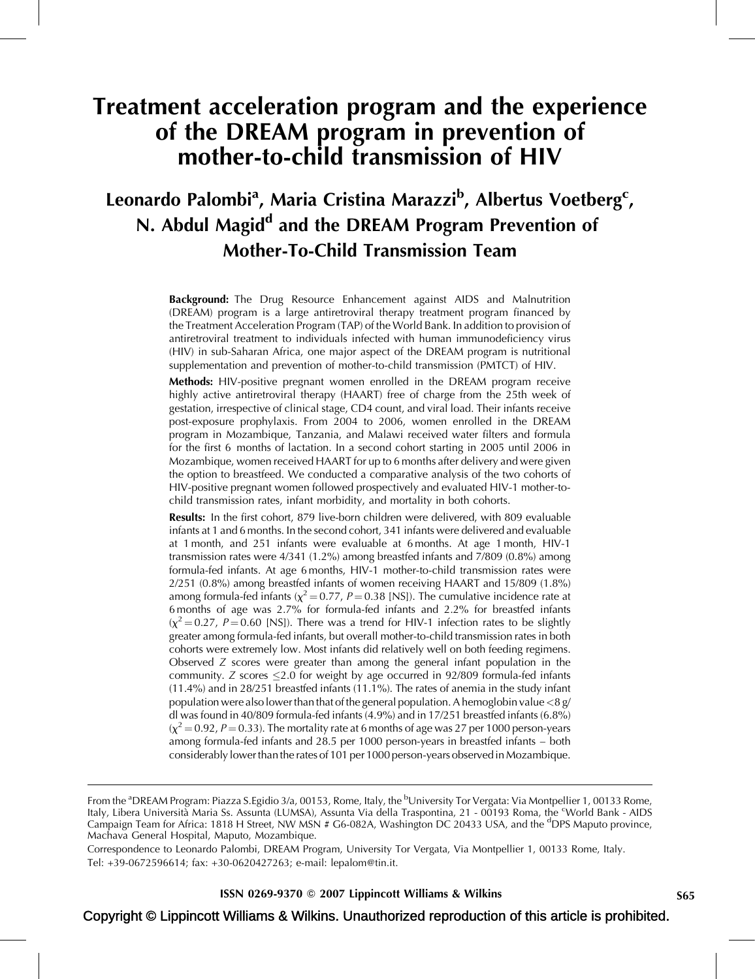# Treatment acceleration program and the experience of the DREAM program in prevention of mother-to-child transmission of HIV

# Leonardo Palombi<sup>a</sup>, Maria Cristina Marazzi<sup>b</sup>, Albertus Voetberg<sup>c</sup>, N. Abdul Magid<sup>d</sup> and the DREAM Program Prevention of Mother-To-Child Transmission Team

Background: The Drug Resource Enhancement against AIDS and Malnutrition (DREAM) program is a large antiretroviral therapy treatment program financed by the Treatment Acceleration Program (TAP) of the World Bank. In addition to provision of antiretroviral treatment to individuals infected with human immunodeficiency virus (HIV) in sub-Saharan Africa, one major aspect of the DREAM program is nutritional supplementation and prevention of mother-to-child transmission (PMTCT) of HIV.

Methods: HIV-positive pregnant women enrolled in the DREAM program receive highly active antiretroviral therapy (HAART) free of charge from the 25th week of gestation, irrespective of clinical stage, CD4 count, and viral load. Their infants receive post-exposure prophylaxis. From 2004 to 2006, women enrolled in the DREAM program in Mozambique, Tanzania, and Malawi received water filters and formula for the first 6 months of lactation. In a second cohort starting in 2005 until 2006 in Mozambique, women received HAART for up to 6 months after delivery and were given the option to breastfeed. We conducted a comparative analysis of the two cohorts of HIV-positive pregnant women followed prospectively and evaluated HIV-1 mother-tochild transmission rates, infant morbidity, and mortality in both cohorts.

Results: In the first cohort, 879 live-born children were delivered, with 809 evaluable infants at 1 and 6 months. In the second cohort, 341 infants were delivered and evaluable at 1 month, and 251 infants were evaluable at 6 months. At age 1 month, HIV-1 transmission rates were 4/341 (1.2%) among breastfed infants and 7/809 (0.8%) among formula-fed infants. At age 6 months, HIV-1 mother-to-child transmission rates were 2/251 (0.8%) among breastfed infants of women receiving HAART and 15/809 (1.8%) among formula-fed infants ( $\chi^2$  = 0.77, P = 0.38 [NS]). The cumulative incidence rate at 6 months of age was 2.7% for formula-fed infants and 2.2% for breastfed infants  $(x^2 = 0.27, P = 0.60$  [NS]). There was a trend for HIV-1 infection rates to be slightly greater among formula-fed infants, but overall mother-to-child transmission rates in both cohorts were extremely low. Most infants did relatively well on both feeding regimens. Observed Z scores were greater than among the general infant population in the community. Z scores  $\leq$ 2.0 for weight by age occurred in 92/809 formula-fed infants (11.4%) and in 28/251 breastfed infants (11.1%). The rates of anemia in the study infant population were also lower than that of the general population. A hemoglobin value  $<8 g$ / dl was found in 40/809 formula-fed infants (4.9%) and in 17/251 breastfed infants (6.8%)  $(x^2 = 0.92, P = 0.33)$ . The mortality rate at 6 months of age was 27 per 1000 person-years among formula-fed infants and 28.5 per 1000 person-years in breastfed infants – both considerably lower than the rates of 101 per 1000 person-years observed in Mozambique.

Correspondence to Leonardo Palombi, DREAM Program, University Tor Vergata, Via Montpellier 1, 00133 Rome, Italy. Tel: +39-0672596614; fax: +30-0620427263; e-mail: [lepalom@tin.it.](mailto:lepalom@tin.it)

ISSN 0269-9370  $\odot$  2007 Lippincott Williams & Wilkins  $S65$ 

Copyright © Lippincott Williams & Wilkins. Unauthorized reproduction of this article is prohibited.

From the <sup>a</sup>DREAM Program: Piazza S.Egidio 3/a, 00153, Rome, Italy, the <sup>b</sup>University Tor Vergata: Via Montpellier 1, 00133 Rome, Italy, Libera Università Maria Ss. Assunta (LUMSA), Assunta Via della Traspontina, 21 - 00193 Roma, the <sup>c</sup>World Bank - AIDS Campaign Team for Africa: 1818 H Street, NW MSN # G6-082A, Washington DC 20433 USA, and the <sup>d</sup>DPS Maputo province, Machava General Hospital, Maputo, Mozambique.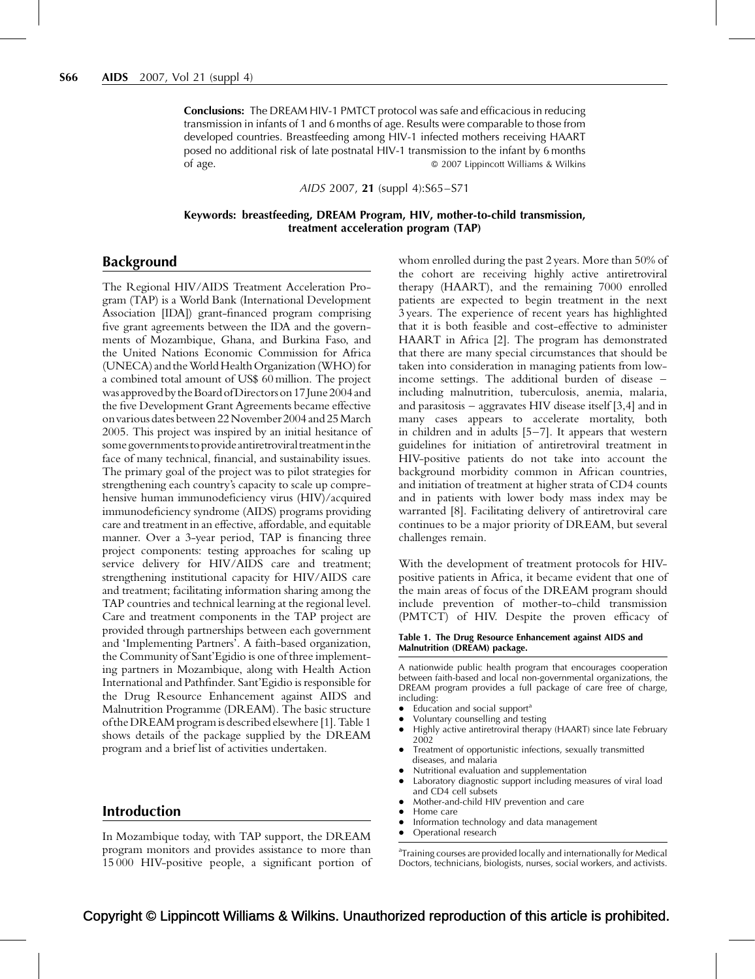Conclusions: The DREAM HIV-1 PMTCT protocol was safe and efficacious in reducing transmission in infants of 1 and 6 months of age. Results were comparable to those from developed countries. Breastfeeding among HIV-1 infected mothers receiving HAART posed no additional risk of late postnatal HIV-1 transmission to the infant by 6 months of age. 2007 Lippincott Williams & Wilkins

AIDS 2007, 21 (suppl 4):S65–S71

### Keywords: breastfeeding, DREAM Program, HIV, mother-to-child transmission, treatment acceleration program (TAP)

## Background

The Regional HIV/AIDS Treatment Acceleration Program (TAP) is a World Bank (International Development Association [IDA]) grant-financed program comprising five grant agreements between the IDA and the governments of Mozambique, Ghana, and Burkina Faso, and the United Nations Economic Commission for Africa (UNECA) and the World Health Organization (WHO) for a combined total amount of US\$ 60 million. The project was approved by the Board of Directors on 17 June 2004 and the five Development Grant Agreements became effective onvariousdatesbetween22November2004and25March 2005. This project was inspired by an initial hesitance of some governments to provide antiretroviral treatment in the face of many technical, financial, and sustainability issues. The primary goal of the project was to pilot strategies for strengthening each country's capacity to scale up comprehensive human immunodeficiency virus (HIV)/acquired immunodeficiency syndrome (AIDS) programs providing care and treatment in an effective, affordable, and equitable manner. Over a 3-year period, TAP is financing three project components: testing approaches for scaling up service delivery for HIV/AIDS care and treatment; strengthening institutional capacity for HIV/AIDS care and treatment; facilitating information sharing among the TAP countries and technical learning at the regional level. Care and treatment components in the TAP project are provided through partnerships between each government and 'Implementing Partners'. A faith-based organization, the Community of Sant'Egidio is one of three implementing partners in Mozambique, along with Health Action International and Pathfinder. Sant'Egidio is responsible for the Drug Resource Enhancement against AIDS and Malnutrition Programme (DREAM). The basic structure oftheDREAM programisdescribedelsewhere [\[1\]](#page-5-0).Table1 shows details of the package supplied by the DREAM program and a brief list of activities undertaken.

# Introduction

In Mozambique today, with TAP support, the DREAM program monitors and provides assistance to more than 15 000 HIV-positive people, a significant portion of whom enrolled during the past 2 years. More than 50% of the cohort are receiving highly active antiretroviral therapy (HAART), and the remaining 7000 enrolled patients are expected to begin treatment in the next 3 years. The experience of recent years has highlighted that it is both feasible and cost-effective to administer HAART in Africa [\[2\].](#page-5-0) The program has demonstrated that there are many special circumstances that should be taken into consideration in managing patients from lowincome settings. The additional burden of disease – including malnutrition, tuberculosis, anemia, malaria, and parasitosis – aggravates HIV disease itself [\[3,4\]](#page-5-0) and in many cases appears to accelerate mortality, both in children and in adults [\[5–7\].](#page-5-0) It appears that western guidelines for initiation of antiretroviral treatment in HIV-positive patients do not take into account the background morbidity common in African countries, and initiation of treatment at higher strata of CD4 counts and in patients with lower body mass index may be warranted [\[8\]](#page-5-0). Facilitating delivery of antiretroviral care continues to be a major priority of DREAM, but several challenges remain.

With the development of treatment protocols for HIVpositive patients in Africa, it became evident that one of the main areas of focus of the DREAM program should include prevention of mother-to-child transmission (PMTCT) of HIV. Despite the proven efficacy of

#### Table 1. The Drug Resource Enhancement against AIDS and Malnutrition (DREAM) package.

A nationwide public health program that encourages cooperation between faith-based and local non-governmental organizations, the DREAM program provides a full package of care free of charge, including:

- Education and social support<sup>a</sup>
- Voluntary counselling and testing
- Highly active antiretroviral therapy (HAART) since late February 2002
- Treatment of opportunistic infections, sexually transmitted diseases, and malaria
- Nutritional evaluation and supplementation
- Laboratory diagnostic support including measures of viral load and CD4 cell subsets
- Mother-and-child HIV prevention and care
- Home care
- Information technology and data management
- Operational research

<sup>&</sup>lt;sup>a</sup>Training courses are provided locally and internationally for Medical Doctors, technicians, biologists, nurses, social workers, and activists.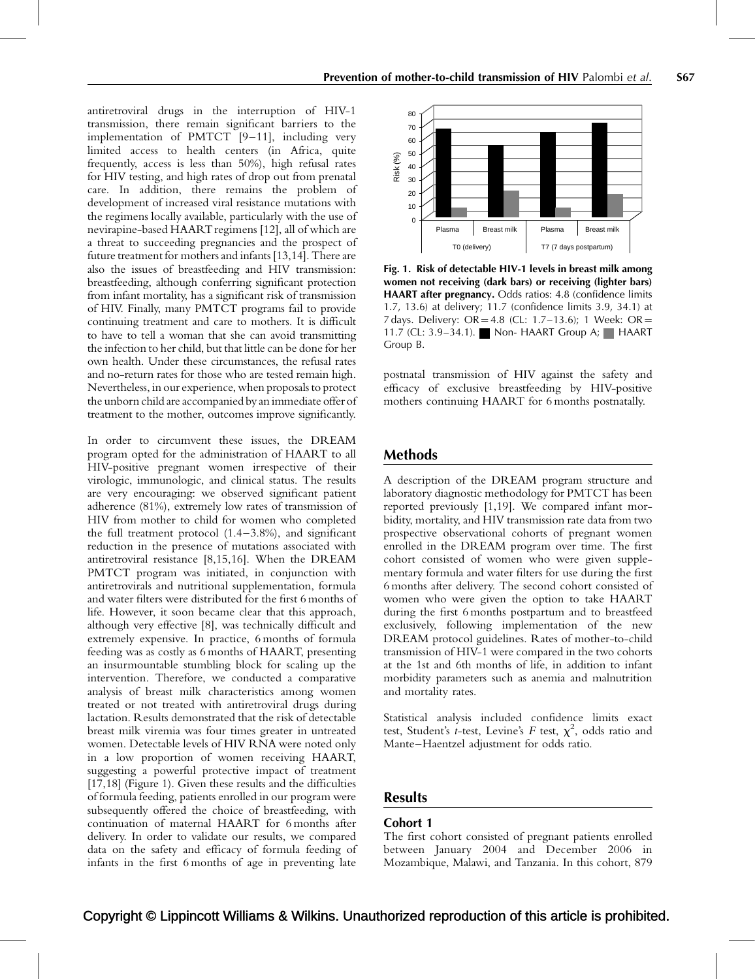antiretroviral drugs in the interruption of HIV-1 transmission, there remain significant barriers to the implementation of PMTCT [\[9–11\],](#page-5-0) including very limited access to health centers (in Africa, quite frequently, access is less than 50%), high refusal rates for HIV testing, and high rates of drop out from prenatal care. In addition, there remains the problem of development of increased viral resistance mutations with the regimens locally available, particularly with the use of nevirapine-based HAART regimens [\[12\],](#page-5-0) all of which are a threat to succeeding pregnancies and the prospect of future treatment for mothers and infants [\[13,14\].](#page-5-0) There are also the issues of breastfeeding and HIV transmission: breastfeeding, although conferring significant protection from infant mortality, has a significant risk of transmission of HIV. Finally, many PMTCT programs fail to provide continuing treatment and care to mothers. It is difficult to have to tell a woman that she can avoid transmitting the infection to her child, but that little can be done for her own health. Under these circumstances, the refusal rates and no-return rates for those who are tested remain high. Nevertheless, in our experience, when proposals to protect the unborn child are accompanied byan immediate offerof treatment to the mother, outcomes improve significantly.

In order to circumvent these issues, the DREAM program opted for the administration of HAART to all HIV-positive pregnant women irrespective of their virologic, immunologic, and clinical status. The results are very encouraging: we observed significant patient adherence (81%), extremely low rates of transmission of HIV from mother to child for women who completed the full treatment protocol (1.4–3.8%), and significant reduction in the presence of mutations associated with antiretroviral resistance [\[8,15,16\].](#page-5-0) When the DREAM PMTCT program was initiated, in conjunction with antiretrovirals and nutritional supplementation, formula and water filters were distributed for the first 6 months of life. However, it soon became clear that this approach, although very effective [\[8\]](#page-5-0), was technically difficult and extremely expensive. In practice, 6 months of formula feeding was as costly as 6 months of HAART, presenting an insurmountable stumbling block for scaling up the intervention. Therefore, we conducted a comparative analysis of breast milk characteristics among women treated or not treated with antiretroviral drugs during lactation. Results demonstrated that the risk of detectable breast milk viremia was four times greater in untreated women. Detectable levels of HIV RNA were noted only in a low proportion of women receiving HAART, suggesting a powerful protective impact of treatment [\[17,18\]](#page-5-0) (Figure 1). Given these results and the difficulties of formula feeding, patients enrolled in our program were subsequently offered the choice of breastfeeding, with continuation of maternal HAART for 6 months after delivery. In order to validate our results, we compared data on the safety and efficacy of formula feeding of infants in the first 6 months of age in preventing late



Fig. 1. Risk of detectable HIV-1 levels in breast milk among women not receiving (dark bars) or receiving (lighter bars) HAART after pregnancy. Odds ratios: 4.8 (confidence limits 1.7, 13.6) at delivery; 11.7 (confidence limits 3.9, 34.1) at 7 days. Delivery: OR = 4.8 (CL: 1.7-13.6); 1 Week: OR = 11.7 (CL: 3.9-34.1). Non- HAART Group A; HAART Group B.

postnatal transmission of HIV against the safety and efficacy of exclusive breastfeeding by HIV-positive mothers continuing HAART for 6 months postnatally.

# Methods

A description of the DREAM program structure and laboratory diagnostic methodology for PMTCT has been reported previously [\[1,19\]](#page-5-0). We compared infant morbidity, mortality, and HIV transmission rate data from two prospective observational cohorts of pregnant women enrolled in the DREAM program over time. The first cohort consisted of women who were given supplementary formula and water filters for use during the first 6 months after delivery. The second cohort consisted of women who were given the option to take HAART during the first 6 months postpartum and to breastfeed exclusively, following implementation of the new DREAM protocol guidelines. Rates of mother-to-child transmission of HIV-1 were compared in the two cohorts at the 1st and 6th months of life, in addition to infant morbidity parameters such as anemia and malnutrition and mortality rates.

Statistical analysis included confidence limits exact test, Student's t-test, Levine's F test,  $\chi^2$ , odds ratio and Mante–Haentzel adjustment for odds ratio.

# Results

### Cohort 1

The first cohort consisted of pregnant patients enrolled between January 2004 and December 2006 in Mozambique, Malawi, and Tanzania. In this cohort, 879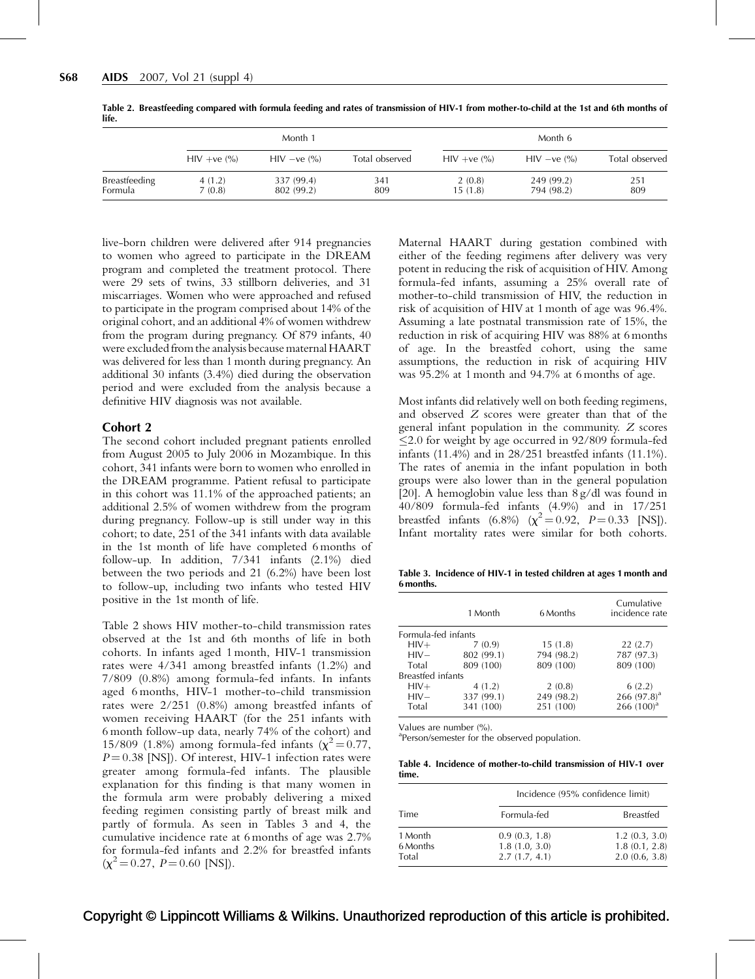|                                 | Month 1           |                          |                | Month 6           |                          |                |
|---------------------------------|-------------------|--------------------------|----------------|-------------------|--------------------------|----------------|
|                                 | $HIV +ve (%)$     | $HIV -ve (%)$            | Total observed | $HIV + ve (%)$    | $HIV -ve (%)$            | Total observed |
| <b>Breastfeeding</b><br>Formula | 4 (1.2)<br>7(0.8) | 337 (99.4)<br>802 (99.2) | 341<br>809     | 2(0.8)<br>15(1.8) | 249 (99.2)<br>794 (98.2) | 251<br>809     |

Table 2. Breastfeeding compared with formula feeding and rates of transmission of HIV-1 from mother-to-child at the 1st and 6th months of life.

live-born children were delivered after 914 pregnancies to women who agreed to participate in the DREAM program and completed the treatment protocol. There were 29 sets of twins, 33 stillborn deliveries, and 31 miscarriages. Women who were approached and refused to participate in the program comprised about 14% of the original cohort, and an additional 4% of women withdrew from the program during pregnancy. Of 879 infants, 40 were excluded from the analysis because maternal HAART was delivered for less than 1 month during pregnancy. An additional 30 infants (3.4%) died during the observation period and were excluded from the analysis because a definitive HIV diagnosis was not available.

### Cohort 2

The second cohort included pregnant patients enrolled from August 2005 to July 2006 in Mozambique. In this cohort, 341 infants were born to women who enrolled in the DREAM programme. Patient refusal to participate in this cohort was 11.1% of the approached patients; an additional 2.5% of women withdrew from the program during pregnancy. Follow-up is still under way in this cohort; to date, 251 of the 341 infants with data available in the 1st month of life have completed 6 months of follow-up. In addition, 7/341 infants (2.1%) died between the two periods and 21 (6.2%) have been lost to follow-up, including two infants who tested HIV positive in the 1st month of life.

Table 2 shows HIV mother-to-child transmission rates observed at the 1st and 6th months of life in both cohorts. In infants aged 1 month, HIV-1 transmission rates were 4/341 among breastfed infants (1.2%) and 7/809 (0.8%) among formula-fed infants. In infants aged 6 months, HIV-1 mother-to-child transmission rates were 2/251 (0.8%) among breastfed infants of women receiving HAART (for the 251 infants with 6 month follow-up data, nearly 74% of the cohort) and 15/809 (1.8%) among formula-fed infants  $(\chi^2 = 0.77,$  $P = 0.38$  [NS]). Of interest, HIV-1 infection rates were greater among formula-fed infants. The plausible explanation for this finding is that many women in the formula arm were probably delivering a mixed feeding regimen consisting partly of breast milk and partly of formula. As seen in Tables 3 and 4, the cumulative incidence rate at 6 months of age was 2.7% for formula-fed infants and 2.2% for breastfed infants  $(\chi^2 = 0.27, P = 0.60$  [NS]).

Maternal HAART during gestation combined with either of the feeding regimens after delivery was very potent in reducing the risk of acquisition of HIV. Among formula-fed infants, assuming a 25% overall rate of mother-to-child transmission of HIV, the reduction in risk of acquisition of HIV at 1 month of age was 96.4%. Assuming a late postnatal transmission rate of 15%, the reduction in risk of acquiring HIV was 88% at 6 months of age. In the breastfed cohort, using the same assumptions, the reduction in risk of acquiring HIV was 95.2% at 1 month and 94.7% at 6 months of age.

Most infants did relatively well on both feeding regimens, and observed Z scores were greater than that of the general infant population in the community. Z scores  $\leq$  2.0 for weight by age occurred in 92/809 formula-fed infants (11.4%) and in 28/251 breastfed infants (11.1%). The rates of anemia in the infant population in both groups were also lower than in the general population [\[20\]](#page-5-0). A hemoglobin value less than 8 g/dl was found in 40/809 formula-fed infants  $(4.9\%)$  and in 17/251 breastfed infants (6.8%) ( $\chi^2$  = 0.92, P = 0.33 [NS]). Infant mortality rates were similar for both cohorts.

Table 3. Incidence of HIV-1 in tested children at ages 1 month and 6 months.

|                          | 1 Month    | 6 Months   | Cumulative<br>incidence rate |
|--------------------------|------------|------------|------------------------------|
| Formula-fed infants      |            |            |                              |
| $HIV+$                   | 7(0.9)     | 15(1.8)    | 22(2.7)                      |
| $HIV -$                  | 802 (99.1) | 794 (98.2) | 787 (97.3)                   |
| Total                    | 809 (100)  | 809 (100)  | 809 (100)                    |
| <b>Breastfed infants</b> |            |            |                              |
| $HIV+$                   | 4(1.2)     | 2(0.8)     | 6(2.2)                       |
| $HIV -$                  | 337 (99.1) | 249 (98.2) | 266 $(97.8)^a$               |
| Total                    | 341 (100)  | 251 (100)  | 266 $(100)^a$                |

Values are number (%).

<sup>a</sup>Person/semester for the observed population.

Table 4. Incidence of mother-to-child transmission of HIV-1 over time.

|                              | Incidence (95% confidence limit)                |                                                 |  |  |
|------------------------------|-------------------------------------------------|-------------------------------------------------|--|--|
| Time                         | Formula-fed                                     | <b>Breastfed</b>                                |  |  |
| 1 Month<br>6 Months<br>Total | 0.9(0.3, 1.8)<br>1.8(1.0, 3.0)<br>2.7(1.7, 4.1) | 1.2(0.3, 3.0)<br>1.8(0.1, 2.8)<br>2.0(0.6, 3.8) |  |  |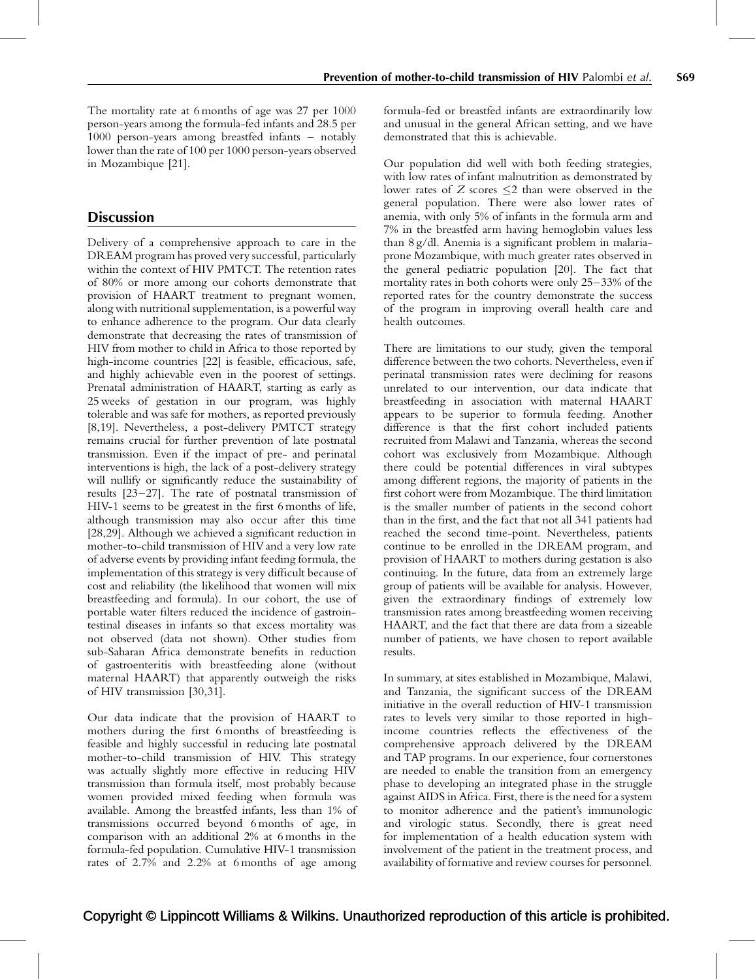The mortality rate at 6 months of age was 27 per 1000 person-years among the formula-fed infants and 28.5 per 1000 person-years among breastfed infants – notably lower than the rate of 100 per 1000 person-years observed in Mozambique [\[21\]](#page-5-0).

# **Discussion**

Delivery of a comprehensive approach to care in the DREAM program has proved very successful, particularly within the context of HIV PMTCT. The retention rates of 80% or more among our cohorts demonstrate that provision of HAART treatment to pregnant women, along with nutritional supplementation, is a powerful way to enhance adherence to the program. Our data clearly demonstrate that decreasing the rates of transmission of HIV from mother to child in Africa to those reported by high-income countries [\[22\]](#page-6-0) is feasible, efficacious, safe, and highly achievable even in the poorest of settings. Prenatal administration of HAART, starting as early as 25 weeks of gestation in our program, was highly tolerable and was safe for mothers, as reported previously [\[8,19\]](#page-5-0). Nevertheless, a post-delivery PMTCT strategy remains crucial for further prevention of late postnatal transmission. Even if the impact of pre- and perinatal interventions is high, the lack of a post-delivery strategy will nullify or significantly reduce the sustainability of results [\[23–27\].](#page-6-0) The rate of postnatal transmission of HIV-1 seems to be greatest in the first 6 months of life, although transmission may also occur after this time [\[28,29\]](#page-6-0). Although we achieved a significant reduction in mother-to-child transmission of HIV and a very low rate of adverse events by providing infant feeding formula, the implementation of this strategy is very difficult because of cost and reliability (the likelihood that women will mix breastfeeding and formula). In our cohort, the use of portable water filters reduced the incidence of gastrointestinal diseases in infants so that excess mortality was not observed (data not shown). Other studies from sub-Saharan Africa demonstrate benefits in reduction of gastroenteritis with breastfeeding alone (without maternal HAART) that apparently outweigh the risks of HIV transmission [\[30,31\]](#page-6-0).

Our data indicate that the provision of HAART to mothers during the first 6 months of breastfeeding is feasible and highly successful in reducing late postnatal mother-to-child transmission of HIV. This strategy was actually slightly more effective in reducing HIV transmission than formula itself, most probably because women provided mixed feeding when formula was available. Among the breastfed infants, less than 1% of transmissions occurred beyond 6 months of age, in comparison with an additional 2% at 6 months in the formula-fed population. Cumulative HIV-1 transmission rates of 2.7% and 2.2% at 6 months of age among

formula-fed or breastfed infants are extraordinarily low and unusual in the general African setting, and we have demonstrated that this is achievable.

Our population did well with both feeding strategies, with low rates of infant malnutrition as demonstrated by lower rates of  $Z$  scores  $\leq$ 2 than were observed in the general population. There were also lower rates of anemia, with only 5% of infants in the formula arm and 7% in the breastfed arm having hemoglobin values less than 8 g/dl. Anemia is a significant problem in malariaprone Mozambique, with much greater rates observed in the general pediatric population [\[20\]](#page-5-0). The fact that mortality rates in both cohorts were only 25–33% of the reported rates for the country demonstrate the success of the program in improving overall health care and health outcomes.

There are limitations to our study, given the temporal difference between the two cohorts. Nevertheless, even if perinatal transmission rates were declining for reasons unrelated to our intervention, our data indicate that breastfeeding in association with maternal HAART appears to be superior to formula feeding. Another difference is that the first cohort included patients recruited from Malawi and Tanzania, whereas the second cohort was exclusively from Mozambique. Although there could be potential differences in viral subtypes among different regions, the majority of patients in the first cohort were from Mozambique. The third limitation is the smaller number of patients in the second cohort than in the first, and the fact that not all 341 patients had reached the second time-point. Nevertheless, patients continue to be enrolled in the DREAM program, and provision of HAART to mothers during gestation is also continuing. In the future, data from an extremely large group of patients will be available for analysis. However, given the extraordinary findings of extremely low transmission rates among breastfeeding women receiving HAART, and the fact that there are data from a sizeable number of patients, we have chosen to report available results.

In summary, at sites established in Mozambique, Malawi, and Tanzania, the significant success of the DREAM initiative in the overall reduction of HIV-1 transmission rates to levels very similar to those reported in highincome countries reflects the effectiveness of the comprehensive approach delivered by the DREAM and TAP programs. In our experience, four cornerstones are needed to enable the transition from an emergency phase to developing an integrated phase in the struggle against AIDS in Africa. First, there is the need for a system to monitor adherence and the patient's immunologic and virologic status. Secondly, there is great need for implementation of a health education system with involvement of the patient in the treatment process, and availability of formative and review courses for personnel.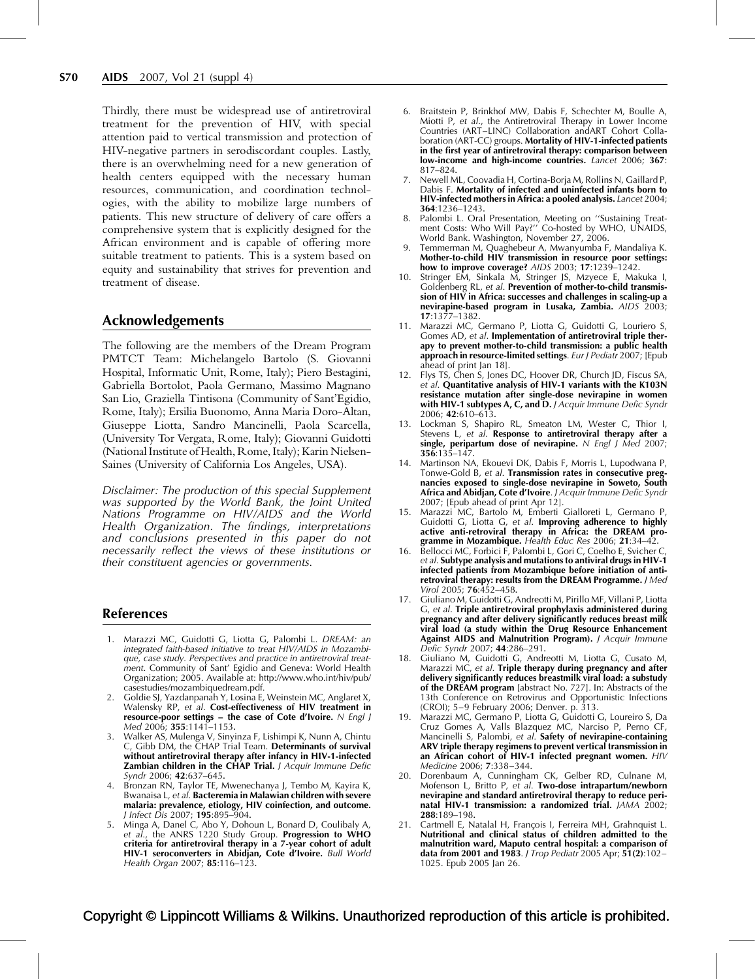<span id="page-5-0"></span>Thirdly, there must be widespread use of antiretroviral treatment for the prevention of HIV, with special attention paid to vertical transmission and protection of HIV-negative partners in serodiscordant couples. Lastly, there is an overwhelming need for a new generation of health centers equipped with the necessary human resources, communication, and coordination technologies, with the ability to mobilize large numbers of patients. This new structure of delivery of care offers a comprehensive system that is explicitly designed for the African environment and is capable of offering more suitable treatment to patients. This is a system based on equity and sustainability that strives for prevention and treatment of disease.

## Acknowledgements

The following are the members of the Dream Program PMTCT Team: Michelangelo Bartolo (S. Giovanni Hospital, Informatic Unit, Rome, Italy); Piero Bestagini, Gabriella Bortolot, Paola Germano, Massimo Magnano San Lio, Graziella Tintisona (Community of Sant'Egidio, Rome, Italy); Ersilia Buonomo, Anna Maria Doro-Altan, Giuseppe Liotta, Sandro Mancinelli, Paola Scarcella, (University Tor Vergata, Rome, Italy); Giovanni Guidotti (National Institute of Health, Rome, Italy); Karin Nielsen-Saines (University of California Los Angeles, USA).

Disclaimer: The production of this special Supplement was supported by the World Bank, the Joint United Nations Programme on HIV/AIDS and the World Health Organization. The findings, interpretations and conclusions presented in this paper do not necessarily reflect the views of these institutions or their constituent agencies or governments.

### References

- 1. Marazzi MC, Guidotti G, Liotta G, Palombi L. DREAM: an integrated faith-based initiative to treat HIV/AIDS in Mozambique, case study. Perspectives and practice in antiretroviral treatment. Community of Sant' Egidio and Geneva: World Health Organization; 2005. Available at: [http://www.who.int/hiv/pub/](http://www.who.int/hiv/pub/casestudies/mozambiquedream.pdf) [casestudies/mozambiquedream.pdf.](http://www.who.int/hiv/pub/casestudies/mozambiquedream.pdf)
- 2. Goldie SJ, Yazdanpanah Y, Losina E, Weinstein MC, Anglaret X, Walensky RP, et al. Cost-effectiveness of HIV treatment in resource-poor settings – the case of Cote d'Ivoire.  $N$  Engl J Med 2006; 355:1141–1153.
- 3. Walker AS, Mulenga V, Sinyinza F, Lishimpi K, Nunn A, Chintu C, Gibb DM, the CHAP Trial Team. Determinants of survival without antiretroviral therapy after infancy in HIV-1-infected **Zambian children in the CHAP Trial.** J Acquir Immune Defic Syndr 2006; 42:637–645.
- 4. Bronzan RN, Taylor TE, Mwenechanya J, Tembo M, Kayira K, Bwanaisa L, et al. Bacteremia in Malawian children with severe malaria: prevalence, etiology, HIV coinfection, and outcome. J Infect Dis 2007; 195:895–904.
- 5. Minga A, Danel C, Abo Y, Dohoun L, Bonard D, Coulibaly A, et  $\overline{a}l$ , the ANRS 1220 Study Group. Progression to WHO criteria for antiretroviral therapy in a 7-year cohort of adult HIV-1 seroconverters in Abidjan, Cote d'Ivoire. Bull World Health Organ 2007; **85**:116-123.
- 6. Braitstein P, Brinkhof MW, Dabis F, Schechter M, Boulle A, Miotti P, et al., the Antiretroviral Therapy in Lower Income Countries (ART–LINC) Collaboration andART Cohort Collaboration (ART-CC) groups. Mortality of HIV-1-infected patients in the first year of antiretroviral therapy: comparison between low-income and high-income countries. Lancet 2006; 367: 817–824.
- 7. Newell ML, Coovadia H, Cortina-Borja M, Rollins N, Gaillard P, Dabis F. Mortality of infected and uninfected infants born to HIV-infected mothers in Africa: a pooled analysis. Lancet 2004; 364:1236–1243.
- 8. Palombi L. Oral Presentation, Meeting on ''Sustaining Treatment Costs: Who Will Pay?'' Co-hosted by WHO, UNAIDS, World Bank. Washington, November 27, 2006.
- 9. Temmerman M, Quaghebeur A, Mwanyumba F, Mandaliya K. Mother-to-child HIV transmission in resource poor settings: how to improve coverage? AIDS 2003; 17:1239-1242.
- 10. Stringer EM, Sinkala M, Stringer JS, Mzyece E, Makuka I, Goldenberg RL, et al. Prevention of mother-to-child transmission of HIV in Africa: successes and challenges in scaling-up a nevirapine-based program in Lusaka, Zambia. AIDS 2003; 17:1377–1382.
- 11. Marazzi MC, Germano P, Liotta G, Guidotti G, Louriero S, Gomes AD, et al. Implementation of antiretroviral triple therapy to prevent mother-to-child transmission: a public health approach in resource-limited settings. Eur J Pediatr 2007; [Epub ahead of print Jan 18].
- 12. Flys TS, Chen S, Jones DC, Hoover DR, Church JD, Fiscus SA, et al. Quantitative analysis of HIV-1 variants with the K103N resistance mutation after single-dose nevirapine in women with HIV-1 subtypes A, C, and D. / Acquir Immune Defic Syndr 2006; 42:610–613.
- 13. Lockman S, Shapiro RL, Smeaton LM, Wester C, Thior I, Stevens L, et al. Response to antiretroviral therapy after a single, peripartum dose of nevirapine. N Engl J Med 2007; 356:135–147.
- 14. Martinson NA, Ekouevi DK, Dabis F, Morris L, Lupodwana P, Tonwe-Gold B, et al. Transmission rates in consecutive pregnancies exposed to single-dose nevirapine in Soweto, South Africa and Abidjan, Cote d'Ivoire. J Acquir Immune Defic Syndr 2007; [Epub ahead of print Apr 12].
- 15. Marazzi MC, Bartolo M, Emberti Gialloreti L, Germano P, Guidotti G, Liotta G, et al. Improving adherence to highly active anti-retroviral therapy in Africa: the DREAM programme in Mozambique. Health Educ Res 2006; 21:34–42.
- 16. Bellocci MC, Forbici F, Palombi L, Gori C, Coelho E, Svicher C, et al. Subtype analysis and mutations to antiviral drugs in HIV-1 infected patients from Mozambique before initiation of antiretroviral therapy: results from the DREAM Programme. J Med Virol 2005; 76:452–458.
- 17. Giuliano M, Guidotti G, Andreotti M, Pirillo MF, Villani P, Liotta G, et al. Triple antiretroviral prophylaxis administered during pregnancy and after delivery significantly reduces breast milk viral load (a study within the Drug Resource Enhancement Against AIDS and Malnutrition Program). J Acquir Immune Defic Syndr 2007; 44:286–291.
- 18. Giuliano M, Guidotti G, Andreotti M, Liotta G, Cusato M, Marazzi MC, et al. Triple therapy during pregnancy and after delivery significantly reduces breastmilk viral load: a substudy of the DREAM program [abstract No. 727]. In: Abstracts of the 13th Conference on Retrovirus and Opportunistic Infections (CROI); 5–9 February 2006; Denver. p. 313.
- 19. Marazzi MC, Germano P, Liotta G, Guidotti G, Loureiro S, Da Cruz Gomes A, Valls Blazquez MC, Narciso P, Perno CF, Mancinelli S, Palombi, et al. Safety of nevirapine-containing ARV triple therapy regimens to prevent vertical transmission in an African cohort of HIV-1 infected pregnant women. HIV Medicine 2006; 7:338–344.
- 20. Dorenbaum A, Cunningham CK, Gelber RD, Culnane M, Mofenson L, Britto P, et al. Two-dose intrapartum/newborn nevirapine and standard antiretroviral therapy to reduce perinatal HIV-1 transmission: a randomized trial. JAMA 2002; 288:189–198.
- 21. Cartmell E, Natalal H, François I, Ferreira MH, Grahnquist L. Nutritional and clinical status of children admitted to the malnutrition ward, Maputo central hospital: a comparison of data from 2001 and 1983. / Trop Pediatr 2005 Apr; 51(2):102-1025. Epub 2005 Jan 26.